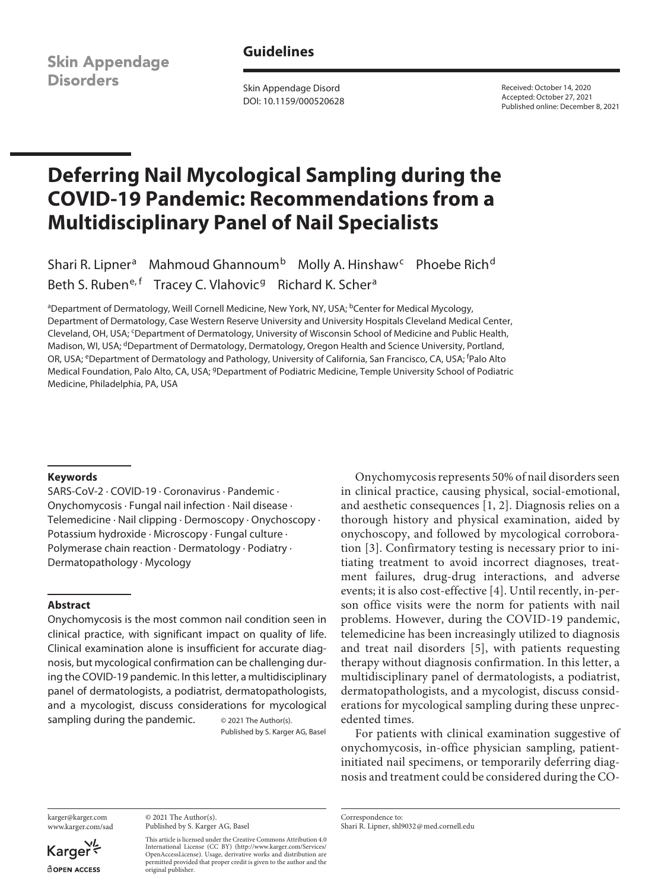## **Guidelines**

**Skin Appendage Disorders** 

Skin Appendage Disord DOI: 10.1159/000520628 Received: October 14, 2020 Accepted: October 27, 2021 Published online: December 8, 2021

# **Deferring Nail Mycological Sampling during the COVID-19 Pandemic: Recommendations from a Multidisciplinary Panel of Nail Specialists**

Shari R. Lipner<sup>a</sup> Mahmoud Ghannoum<sup>b</sup> Molly A. Hinshaw<sup>c</sup> Phoebe Rich<sup>d</sup> Beth S. Ruben<sup>e, f</sup> Tracey C. Vlahovic<sup>g</sup> Richard K. Scher<sup>a</sup>

<sup>a</sup>Department of Dermatology, Weill Cornell Medicine, New York, NY, USA; <sup>b</sup>Center for Medical Mycology, Department of Dermatology, Case Western Reserve University and University Hospitals Cleveland Medical Center, Cleveland, OH, USA; <sup>c</sup>Department of Dermatology, University of Wisconsin School of Medicine and Public Health, Madison, WI, USA; <sup>d</sup>Department of Dermatology, Dermatology, Oregon Health and Science University, Portland, OR, USA; <sup>e</sup>Department of Dermatology and Pathology, University of California, San Francisco, CA, USA; <sup>f</sup>Palo Alto Medical Foundation, Palo Alto, CA, USA; gDepartment of Podiatric Medicine, Temple University School of Podiatric Medicine, Philadelphia, PA, USA

### **Keywords**

SARS-CoV-2 · COVID-19 · Coronavirus · Pandemic · Onychomycosis · Fungal nail infection · Nail disease · Telemedicine · Nail clipping · Dermoscopy · Onychoscopy · Potassium hydroxide · Microscopy · Fungal culture · Polymerase chain reaction · Dermatology · Podiatry · Dermatopathology · Mycology

### **Abstract**

Onychomycosis is the most common nail condition seen in clinical practice, with significant impact on quality of life. Clinical examination alone is insufficient for accurate diagnosis, but mycological confirmation can be challenging during the COVID-19 pandemic. In this letter, a multidisciplinary panel of dermatologists, a podiatrist, dermatopathologists, and a mycologist, discuss considerations for mycological sampling during the pandemic.  $\qquad \circ$  2021 The Author(s).

Published by S. Karger AG, Basel

<span id="page-0-1"></span><span id="page-0-0"></span>Onychomycosis represents 50% of nail disorders seen in clinical practice, causing physical, social-emotional, and aesthetic consequences [\[1,](#page-2-0) [2](#page-2-1)]. Diagnosis relies on a thorough history and physical examination, aided by onychoscopy, and followed by mycological corroboration [\[3\]](#page-2-2). Confirmatory testing is necessary prior to initiating treatment to avoid incorrect diagnoses, treatment failures, drug-drug interactions, and adverse events; it is also cost-effective [\[4\]](#page-2-3). Until recently, in-person office visits were the norm for patients with nail problems. However, during the COVID-19 pandemic, telemedicine has been increasingly utilized to diagnosis and treat nail disorders [\[5\]](#page-3-0), with patients requesting therapy without diagnosis confirmation. In this letter, a multidisciplinary panel of dermatologists, a podiatrist, dermatopathologists, and a mycologist, discuss considerations for mycological sampling during these unprecedented times.

For patients with clinical examination suggestive of onychomycosis, in-office physician sampling, patientinitiated nail specimens, or temporarily deferring diagnosis and treatment could be considered during the CO-

karger@karger.com www.karger.com/sad

Karger dopen Access

© 2021 The Author(s). Published by S. Karger AG, Basel

This article is licensed under the Creative Commons Attribution 4.0 International License (CC BY) (http://www.karger.com/Services/ OpenAccessLicense). Usage, derivative works and distribution are permitted provided that proper credit is given to the author and the original publisher.

Correspondence to: Shari R. Lipner, shl9032@med.cornell.edu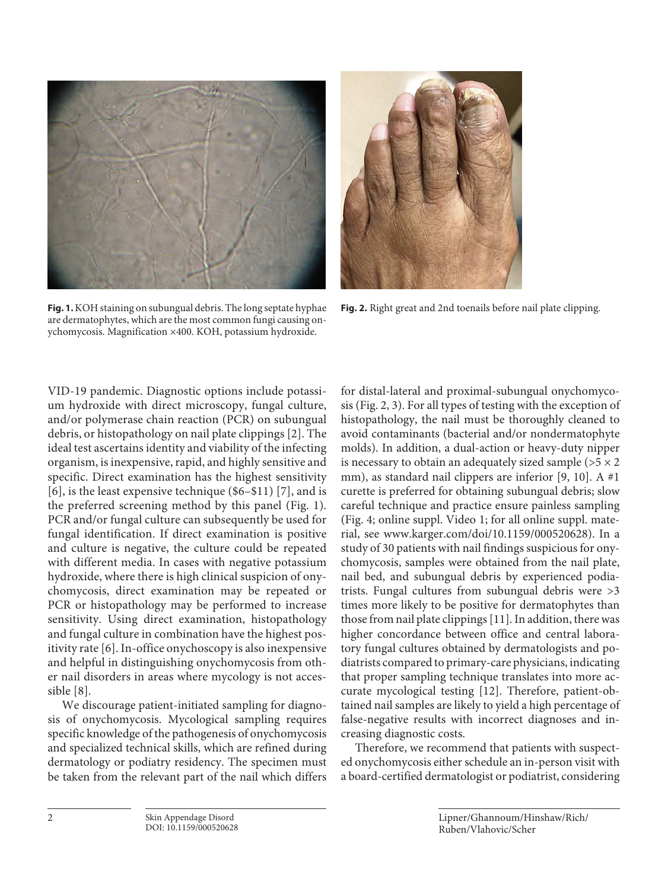



**Fig. 1.** KOH staining on subungual debris. The long septate hyphae are dermatophytes, which are the most common fungi causing onychomycosis. Magnification ×400. KOH, potassium hydroxide.

**Fig. 2.** Right great and 2nd toenails before nail plate clipping.

VID-19 pandemic. Diagnostic options include potassium hydroxide with direct microscopy, fungal culture, and/or polymerase chain reaction (PCR) on subungual debris, or histopathology on nail plate clippings [[2](#page-2-1)]. The ideal test ascertains identity and viability of the infecting organism, is inexpensive, rapid, and highly sensitive and specific. Direct examination has the highest sensitivity [\[6\]](#page-3-1), is the least expensive technique (\$6–\$11) [\[7\]](#page-3-2), and is the preferred screening method by this panel (Fig. 1). PCR and/or fungal culture can subsequently be used for fungal identification. If direct examination is positive and culture is negative, the culture could be repeated with different media. In cases with negative potassium hydroxide, where there is high clinical suspicion of onychomycosis, direct examination may be repeated or PCR or histopathology may be performed to increase sensitivity. Using direct examination, histopathology and fungal culture in combination have the highest positivity rate [[6](#page-3-1)]. In-office onychoscopy is also inexpensive and helpful in distinguishing onychomycosis from other nail disorders in areas where mycology is not accessible [\[8\]](#page-3-3).

We discourage patient-initiated sampling for diagnosis of onychomycosis. Mycological sampling requires specific knowledge of the pathogenesis of onychomycosis and specialized technical skills, which are refined during dermatology or podiatry residency. The specimen must be taken from the relevant part of the nail which differs

for distal-lateral and proximal-subungual onychomycosis (Fig. 2, 3). For all types of testing with the exception of histopathology, the nail must be thoroughly cleaned to avoid contaminants (bacterial and/or nondermatophyte molds). In addition, a dual-action or heavy-duty nipper is necessary to obtain an adequately sized sample ( $>5 \times 2$ ) mm), as standard nail clippers are inferior [\[9,](#page-3-4) [10](#page-2-0)]. A #1 curette is preferred for obtaining subungual debris; slow careful technique and practice ensure painless sampling (Fig. 4; online suppl. Video 1; for all online suppl. material, see www.karger.com/doi/10.1159/000520628). In a study of 30 patients with nail findings suspicious for onychomycosis, samples were obtained from the nail plate, nail bed, and subungual debris by experienced podiatrists. Fungal cultures from subungual debris were >3 times more likely to be positive for dermatophytes than those from nail plate clippings [\[11\]](#page-2-0). In addition, there was higher concordance between office and central laboratory fungal cultures obtained by dermatologists and podiatrists compared to primary-care physicians, indicating that proper sampling technique translates into more accurate mycological testing [[1](#page-2-0)[2\]](#page-2-1). Therefore, patient-obtained nail samples are likely to yield a high percentage of false-negative results with incorrect diagnoses and increasing diagnostic costs.

Therefore, we recommend that patients with suspected onychomycosis either schedule an in-person visit with a board-certified dermatologist or podiatrist, considering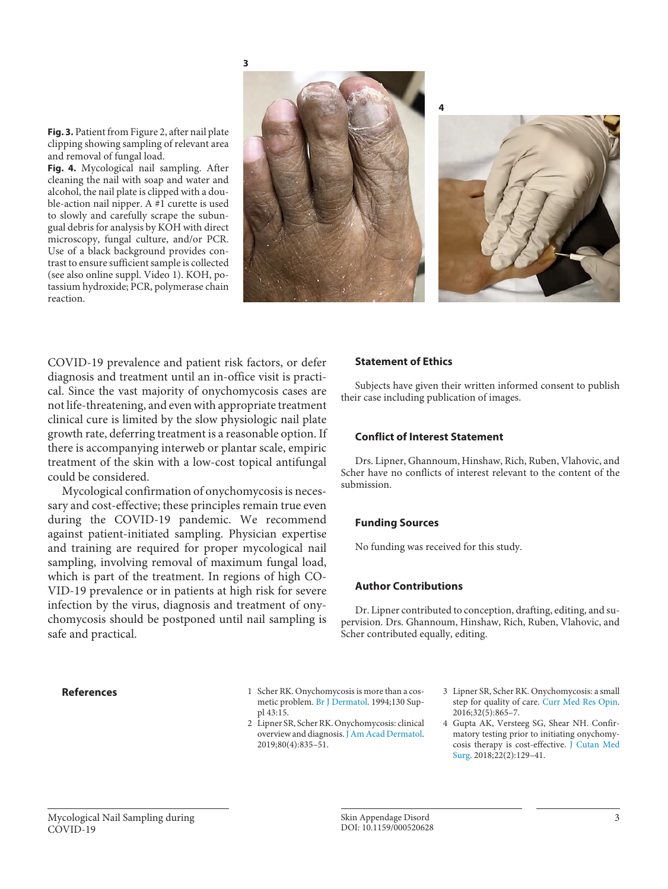





**Fig. 3.** Patient from Figure 2, after nail plate clipping showing sampling of relevant area and removal of fungal load.

**Fig. 4.** Mycological nail sampling. After cleaning the nail with soap and water and alcohol, the nail plate is clipped with a double-action nail nipper. A #1 curette is used to slowly and carefully scrape the subungual debris for analysis by KOH with direct microscopy, fungal culture, and/or PCR. Use of a black background provides contrast to ensure sufficient sample is collected (see also online suppl. Video 1). KOH, potassium hydroxide; PCR, polymerase chain reaction.

COVID-19 prevalence and patient risk factors, or defer diagnosis and treatment until an in-office visit is practical. Since the vast majority of onychomycosis cases are not life-threatening, and even with appropriate treatment clinical cure is limited by the slow physiologic nail plate growth rate, deferring treatment is a reasonable option. If there is accompanying interweb or plantar scale, empiric treatment of the skin with a low-cost topical antifungal could be considered.

Mycological confirmation of onychomycosis is necessary and cost-effective; these principles remain true even during the COVID-19 pandemic. We recommend against patient-initiated sampling. Physician expertise and training are required for proper mycological nail sampling, involving removal of maximum fungal load, which is part of the treatment. In regions of high CO-VID-19 prevalence or in patients at high risk for severe infection by the virus, diagnosis and treatment of onychomycosis should be postponed until nail sampling is safe and practical.

### **Statement of Ethics**

Subjects have given their written informed consent to publish their case including publication of images.

### **Conflict of Interest Statement**

Drs. Lipner, Ghannoum, Hinshaw, Rich, Ruben, Vlahovic, and Scher have no conflicts of interest relevant to the content of the submission.

### **Funding Sources**

No funding was received for this study.

### **Author Contributions**

<span id="page-2-1"></span><span id="page-2-0"></span>Dr. Lipner contributed to conception, drafting, editing, and supervision. Drs. Ghannoum, Hinshaw, Rich, Ruben, Vlahovic, and Scher contributed equally, editing.

- **References** [1](#page-0-0) Scher RK. Onychomycosis is more than a cosmetic problem. [Br J Dermatol.](https://www.karger.com/Article/FullText/520628?ref=1#ref1) 1994;130 Suppl 43:15.
	- [2](#page-0-0) Lipner SR, Scher RK. Onychomycosis: clinical overview and diagnosis. [J Am Acad Dermatol.](https://www.karger.com/Article/FullText/520628?ref=2#ref2) 2019;80(4):835–51.
- <span id="page-2-2"></span>[3](#page-0-1) Lipner SR, Scher RK. Onychomycosis: a small step for quality of care. [Curr Med Res Opin.](https://www.karger.com/Article/FullText/520628?ref=3#ref3) 2016;32(5):865–7.
- <span id="page-2-3"></span>4 Gupta AK, Versteeg SG, Shear NH. Confirmatory testing prior to initiating onychomycosis therapy is cost-effective. [J Cutan Med](https://www.karger.com/Article/FullText/520628?ref=4#ref4)  [Surg](https://www.karger.com/Article/FullText/520628?ref=4#ref4). 2018;22(2):129–41.